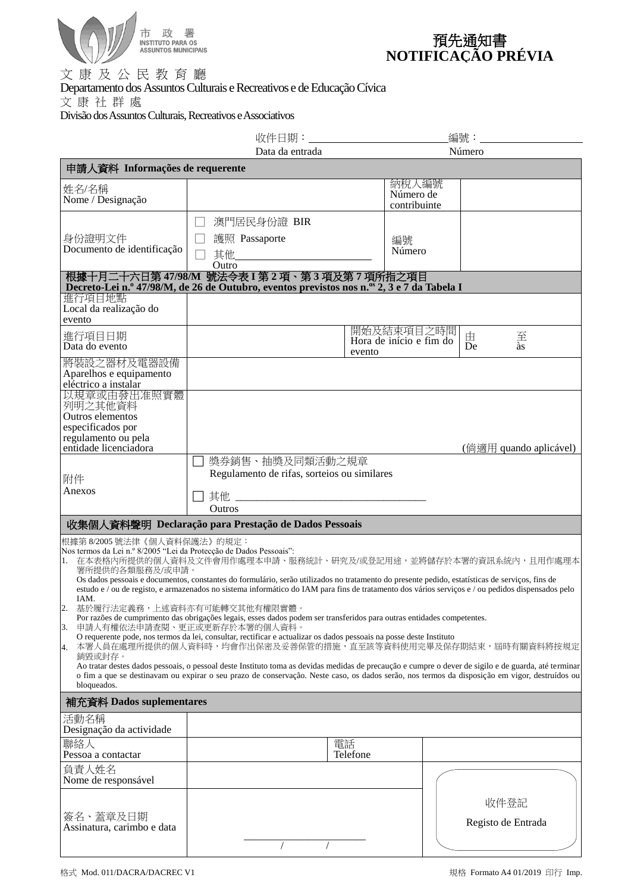

| 預先通知書              |
|--------------------|
| NOTIFICAÇÃO PRÉVIA |

文 康 及 公 民 教 育 廳 Departamento dos Assuntos Culturais e Recreativos e de Educação Cívica 文 康 社 群 處 Divisão dos Assuntos Culturais, Recreativos e Associativos

|                                                                                                                                                                                                                                                                                                                                                                                                                                                                                                                                                                                                                                                                                                                                                                                                                                                                                                                                                                                                                                                                                                                                                                                                                                                                                              | 收件日期:_________________________                                                                                                               |                                                      | 編號:                        |  |  |  |
|----------------------------------------------------------------------------------------------------------------------------------------------------------------------------------------------------------------------------------------------------------------------------------------------------------------------------------------------------------------------------------------------------------------------------------------------------------------------------------------------------------------------------------------------------------------------------------------------------------------------------------------------------------------------------------------------------------------------------------------------------------------------------------------------------------------------------------------------------------------------------------------------------------------------------------------------------------------------------------------------------------------------------------------------------------------------------------------------------------------------------------------------------------------------------------------------------------------------------------------------------------------------------------------------|----------------------------------------------------------------------------------------------------------------------------------------------|------------------------------------------------------|----------------------------|--|--|--|
|                                                                                                                                                                                                                                                                                                                                                                                                                                                                                                                                                                                                                                                                                                                                                                                                                                                                                                                                                                                                                                                                                                                                                                                                                                                                                              | Data da entrada<br>Número                                                                                                                    |                                                      |                            |  |  |  |
| 申請人資料 Informações de requerente                                                                                                                                                                                                                                                                                                                                                                                                                                                                                                                                                                                                                                                                                                                                                                                                                                                                                                                                                                                                                                                                                                                                                                                                                                                              |                                                                                                                                              |                                                      |                            |  |  |  |
| 姓名/名稱<br>Nome / Designação                                                                                                                                                                                                                                                                                                                                                                                                                                                                                                                                                                                                                                                                                                                                                                                                                                                                                                                                                                                                                                                                                                                                                                                                                                                                   |                                                                                                                                              | 納稅人編號<br>Número de<br>contribuinte                   |                            |  |  |  |
| 身份證明文件<br>Documento de identificação                                                                                                                                                                                                                                                                                                                                                                                                                                                                                                                                                                                                                                                                                                                                                                                                                                                                                                                                                                                                                                                                                                                                                                                                                                                         | 澳門居民身份證 BIR<br>護照 Passaporte<br>其他___________<br>Outro                                                                                       | 編號<br>Número                                         |                            |  |  |  |
|                                                                                                                                                                                                                                                                                                                                                                                                                                                                                                                                                                                                                                                                                                                                                                                                                                                                                                                                                                                                                                                                                                                                                                                                                                                                                              | 根據十月二十六日第 47/98/M 號法令表 I 第 2 項、第 3 項及第 7 項所指之項目<br>Decreto-Lei n.º 47/98/M, de 26 de Outubro, eventos previstos nos n.º 2, 3 e 7 da Tabela I |                                                      |                            |  |  |  |
| 進行項目地點<br>Local da realização do<br>evento                                                                                                                                                                                                                                                                                                                                                                                                                                                                                                                                                                                                                                                                                                                                                                                                                                                                                                                                                                                                                                                                                                                                                                                                                                                   |                                                                                                                                              | 開始及結束項目之時間                                           |                            |  |  |  |
| 進行項目日期<br>Data do evento                                                                                                                                                                                                                                                                                                                                                                                                                                                                                                                                                                                                                                                                                                                                                                                                                                                                                                                                                                                                                                                                                                                                                                                                                                                                     | Hora de início e fim do<br>evento                                                                                                            | $\frac{\overline{\mathcal{F}}}{\hat{a}s}$<br>由<br>De |                            |  |  |  |
| 將裝設之器材及電器設備<br>Aparelhos e equipamento<br>eléctrico a instalar                                                                                                                                                                                                                                                                                                                                                                                                                                                                                                                                                                                                                                                                                                                                                                                                                                                                                                                                                                                                                                                                                                                                                                                                                               |                                                                                                                                              |                                                      |                            |  |  |  |
| 以規章或由發出准照實體<br>列明之其他資料<br>Outros elementos<br>especificados por<br>regulamento ou pela                                                                                                                                                                                                                                                                                                                                                                                                                                                                                                                                                                                                                                                                                                                                                                                                                                                                                                                                                                                                                                                                                                                                                                                                       |                                                                                                                                              |                                                      |                            |  |  |  |
| entidade licenciadora                                                                                                                                                                                                                                                                                                                                                                                                                                                                                                                                                                                                                                                                                                                                                                                                                                                                                                                                                                                                                                                                                                                                                                                                                                                                        |                                                                                                                                              |                                                      | (倘適用 quando aplicável)     |  |  |  |
| 附件<br>Anexos                                                                                                                                                                                                                                                                                                                                                                                                                                                                                                                                                                                                                                                                                                                                                                                                                                                                                                                                                                                                                                                                                                                                                                                                                                                                                 | 獎券銷售、抽獎及同類活動之規章<br>Regulamento de rifas, sorteios ou similares                                                                               |                                                      |                            |  |  |  |
|                                                                                                                                                                                                                                                                                                                                                                                                                                                                                                                                                                                                                                                                                                                                                                                                                                                                                                                                                                                                                                                                                                                                                                                                                                                                                              | <b>Outros</b>                                                                                                                                |                                                      |                            |  |  |  |
| 收集個人資料聲明 Declaração para Prestação de Dados Pessoais<br>根據第 8/2005號法律《個人資料保護法》的規定:<br>Nos termos da Lei n.º 8/2005 "Lei da Protecção de Dados Pessoais":<br>在本表格内所提供的個人資料及文件會用作處理本申請、服務統計、研究及/或登記用途,並將儲存於本署的資訊系統內,且用作處理本<br>1.<br>署所提供的各類服務及/或申請。<br>Os dados pessoais e documentos, constantes do formulário, serão utilizados no tratamento do presente pedido, estatísticas de serviços, fins de<br>estudo e / ou de registo, e armazenados no sistema informático do IAM para fins de tratamento dos vários serviços e / ou pedidos dispensados pelo<br>IAM.<br>基於履行法定義務,上述資料亦有可能轉交其他有權限實體。<br>Por razões de cumprimento das obrigações legais, esses dados podem ser transferidos para outras entidades competentes.<br>申請人有權依法申請查閱、更正或更新存於本署的個人資料。<br>3.<br>O requerente pode, nos termos da lei, consultar, rectificar e actualizar os dados pessoais na posse deste Instituto<br>本署人員在處理所提供的個人資料時,均會作出保密及妥善保管的措施,直至該等資料使用完畢及保存期結束,屆時有關資料將按規定<br>4.<br>銷毀或封存。<br>Ao tratar destes dados pessoais, o pessoal deste Instituto toma as devidas medidas de precaução e cumpre o dever de sigilo e de guarda, até terminar<br>o fim a que se destinavam ou expirar o seu prazo de conservação. Neste caso, os dados serão, nos termos da disposição em vigor, destruídos ou<br>bloqueados. |                                                                                                                                              |                                                      |                            |  |  |  |
| 補充資料 Dados suplementares<br>活動名稱                                                                                                                                                                                                                                                                                                                                                                                                                                                                                                                                                                                                                                                                                                                                                                                                                                                                                                                                                                                                                                                                                                                                                                                                                                                             |                                                                                                                                              |                                                      |                            |  |  |  |
| Designação da actividade                                                                                                                                                                                                                                                                                                                                                                                                                                                                                                                                                                                                                                                                                                                                                                                                                                                                                                                                                                                                                                                                                                                                                                                                                                                                     |                                                                                                                                              |                                                      |                            |  |  |  |
| 聯絡人<br>Pessoa a contactar                                                                                                                                                                                                                                                                                                                                                                                                                                                                                                                                                                                                                                                                                                                                                                                                                                                                                                                                                                                                                                                                                                                                                                                                                                                                    | 電話<br>Telefone                                                                                                                               |                                                      |                            |  |  |  |
| 負責人姓名<br>Nome de responsável<br>簽名、蓋章及日期<br>Assinatura, carimbo e data                                                                                                                                                                                                                                                                                                                                                                                                                                                                                                                                                                                                                                                                                                                                                                                                                                                                                                                                                                                                                                                                                                                                                                                                                       |                                                                                                                                              |                                                      | 收件登記<br>Registo de Entrada |  |  |  |